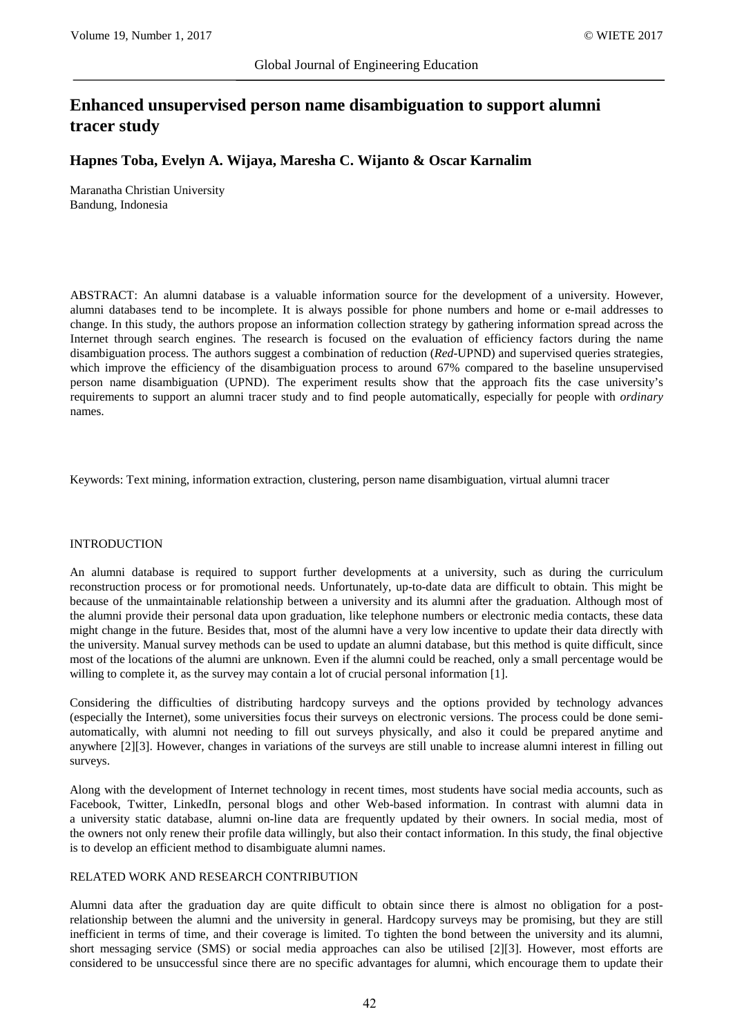# **Enhanced unsupervised person name disambiguation to support alumni tracer study**

## **Hapnes Toba, Evelyn A. Wijaya, Maresha C. Wijanto & Oscar Karnalim**

Maranatha Christian University Bandung, Indonesia

ABSTRACT: An alumni database is a valuable information source for the development of a university. However, alumni databases tend to be incomplete. It is always possible for phone numbers and home or e-mail addresses to change. In this study, the authors propose an information collection strategy by gathering information spread across the Internet through search engines. The research is focused on the evaluation of efficiency factors during the name disambiguation process. The authors suggest a combination of reduction (*Red*-UPND) and supervised queries strategies, which improve the efficiency of the disambiguation process to around 67% compared to the baseline unsupervised person name disambiguation (UPND). The experiment results show that the approach fits the case university's requirements to support an alumni tracer study and to find people automatically, especially for people with *ordinary* names.

Keywords: Text mining, information extraction, clustering, person name disambiguation, virtual alumni tracer

#### INTRODUCTION

An alumni database is required to support further developments at a university, such as during the curriculum reconstruction process or for promotional needs. Unfortunately, up-to-date data are difficult to obtain. This might be because of the unmaintainable relationship between a university and its alumni after the graduation. Although most of the alumni provide their personal data upon graduation, like telephone numbers or electronic media contacts, these data might change in the future. Besides that, most of the alumni have a very low incentive to update their data directly with the university. Manual survey methods can be used to update an alumni database, but this method is quite difficult, since most of the locations of the alumni are unknown. Even if the alumni could be reached, only a small percentage would be willing to complete it, as the survey may contain a lot of crucial personal information [1].

Considering the difficulties of distributing hardcopy surveys and the options provided by technology advances (especially the Internet), some universities focus their surveys on electronic versions. The process could be done semiautomatically, with alumni not needing to fill out surveys physically, and also it could be prepared anytime and anywhere [2][3]. However, changes in variations of the surveys are still unable to increase alumni interest in filling out surveys.

Along with the development of Internet technology in recent times, most students have social media accounts, such as Facebook, Twitter, LinkedIn, personal blogs and other Web-based information. In contrast with alumni data in a university static database, alumni on-line data are frequently updated by their owners. In social media, most of the owners not only renew their profile data willingly, but also their contact information. In this study, the final objective is to develop an efficient method to disambiguate alumni names.

#### RELATED WORK AND RESEARCH CONTRIBUTION

Alumni data after the graduation day are quite difficult to obtain since there is almost no obligation for a postrelationship between the alumni and the university in general. Hardcopy surveys may be promising, but they are still inefficient in terms of time, and their coverage is limited. To tighten the bond between the university and its alumni, short messaging service (SMS) or social media approaches can also be utilised [2][3]. However, most efforts are considered to be unsuccessful since there are no specific advantages for alumni, which encourage them to update their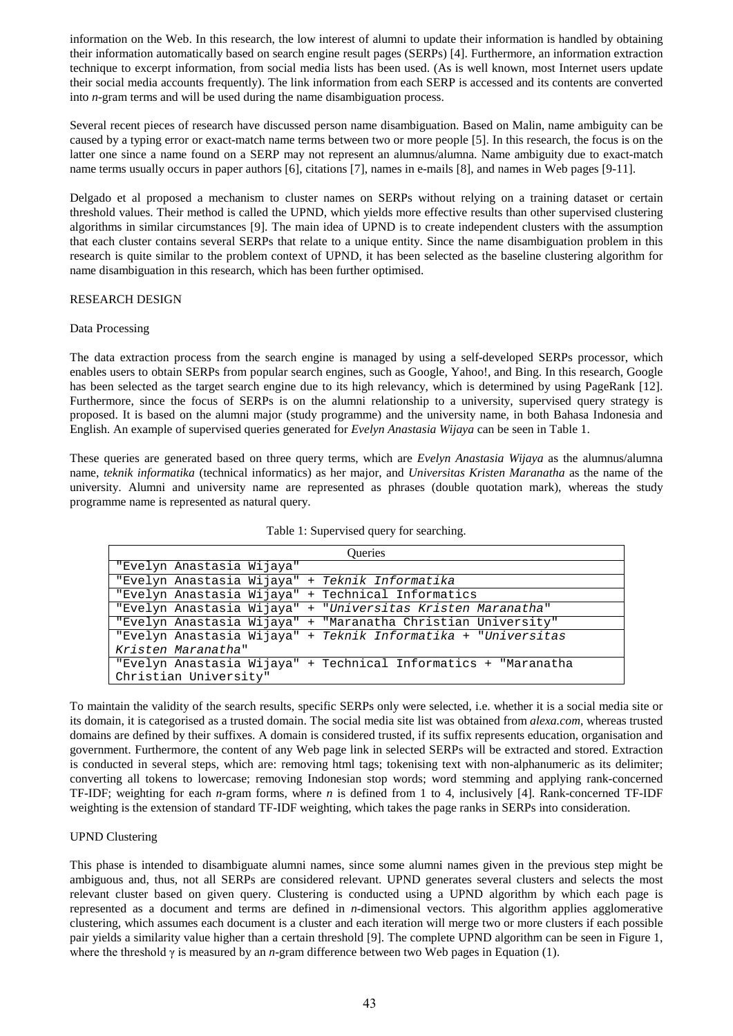information on the Web. In this research, the low interest of alumni to update their information is handled by obtaining their information automatically based on search engine result pages (SERPs) [4]. Furthermore, an information extraction technique to excerpt information, from social media lists has been used. (As is well known, most Internet users update their social media accounts frequently). The link information from each SERP is accessed and its contents are converted into *n*-gram terms and will be used during the name disambiguation process.

Several recent pieces of research have discussed person name disambiguation. Based on Malin, name ambiguity can be caused by a typing error or exact-match name terms between two or more people [5]. In this research, the focus is on the latter one since a name found on a SERP may not represent an alumnus/alumna. Name ambiguity due to exact-match name terms usually occurs in paper authors [6], citations [7], names in e-mails [8], and names in Web pages [9-11].

Delgado et al proposed a mechanism to cluster names on SERPs without relying on a training dataset or certain threshold values. Their method is called the UPND, which yields more effective results than other supervised clustering algorithms in similar circumstances [9]. The main idea of UPND is to create independent clusters with the assumption that each cluster contains several SERPs that relate to a unique entity. Since the name disambiguation problem in this research is quite similar to the problem context of UPND, it has been selected as the baseline clustering algorithm for name disambiguation in this research, which has been further optimised.

## RESEARCH DESIGN

#### Data Processing

The data extraction process from the search engine is managed by using a self-developed SERPs processor, which enables users to obtain SERPs from popular search engines, such as Google, Yahoo!, and Bing. In this research, Google has been selected as the target search engine due to its high relevancy, which is determined by using PageRank [12]. Furthermore, since the focus of SERPs is on the alumni relationship to a university, supervised query strategy is proposed. It is based on the alumni major (study programme) and the university name, in both Bahasa Indonesia and English. An example of supervised queries generated for *Evelyn Anastasia Wijaya* can be seen in Table 1.

These queries are generated based on three query terms, which are *Evelyn Anastasia Wijaya* as the alumnus/alumna name, *teknik informatika* (technical informatics) as her major, and *Universitas Kristen Maranatha* as the name of the university. Alumni and university name are represented as phrases (double quotation mark), whereas the study programme name is represented as natural query.

| Oueries                                                          |
|------------------------------------------------------------------|
| "Evelyn Anastasia Wijaya"                                        |
| "Evelyn Anastasia Wijaya" + Teknik Informatika                   |
| "Evelyn Anastasia Wijaya" + Technical Informatics                |
| + "Universitas Kristen Maranatha"<br>"Evelyn Anastasia Wijaya"   |
| + "Maranatha Christian University"<br>"Evelyn Anastasia Wijaya"  |
| + Teknik Informatika + "Universitas<br>"Evelyn Anastasia Wijaya" |
| Kristen Maranatha"                                               |
| "Evelyn Anastasia Wijaya" + Technical Informatics + "Maranatha   |
| Christian University"                                            |

Table 1: Supervised query for searching.

To maintain the validity of the search results, specific SERPs only were selected, i.e. whether it is a social media site or its domain, it is categorised as a trusted domain. The social media site list was obtained from *alexa.com*, whereas trusted domains are defined by their suffixes. A domain is considered trusted, if its suffix represents education, organisation and government. Furthermore, the content of any Web page link in selected SERPs will be extracted and stored. Extraction is conducted in several steps, which are: removing html tags; tokenising text with non-alphanumeric as its delimiter; converting all tokens to lowercase; removing Indonesian stop words; word stemming and applying rank-concerned TF-IDF; weighting for each *n*-gram forms, where *n* is defined from 1 to 4, inclusively [4]. Rank-concerned TF-IDF weighting is the extension of standard TF-IDF weighting, which takes the page ranks in SERPs into consideration.

## UPND Clustering

This phase is intended to disambiguate alumni names, since some alumni names given in the previous step might be ambiguous and, thus, not all SERPs are considered relevant. UPND generates several clusters and selects the most relevant cluster based on given query. Clustering is conducted using a UPND algorithm by which each page is represented as a document and terms are defined in *n*-dimensional vectors. This algorithm applies agglomerative clustering, which assumes each document is a cluster and each iteration will merge two or more clusters if each possible pair yields a similarity value higher than a certain threshold [9]. The complete UPND algorithm can be seen in Figure 1, where the threshold γ is measured by an *n*-gram difference between two Web pages in Equation (1).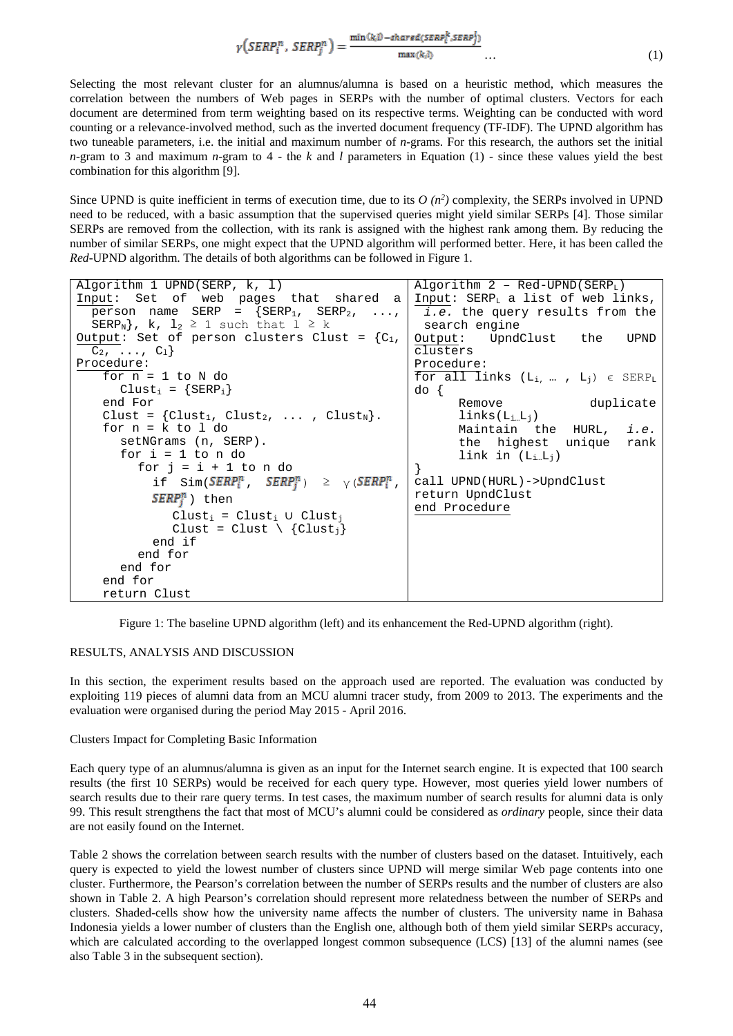$$
\gamma\left(SERP_i^n, SERP_j^n\right) = \frac{\min(k_i 0 - shared(SERP_i^k, SERP_j^k)}{\max(k_i 0)} \dots \tag{1}
$$

Selecting the most relevant cluster for an alumnus/alumna is based on a heuristic method, which measures the correlation between the numbers of Web pages in SERPs with the number of optimal clusters. Vectors for each document are determined from term weighting based on its respective terms. Weighting can be conducted with word counting or a relevance-involved method, such as the inverted document frequency (TF-IDF). The UPND algorithm has two tuneable parameters, i.e. the initial and maximum number of *n*-grams. For this research, the authors set the initial *n*-gram to 3 and maximum *n*-gram to 4 - the *k* and *l* parameters in Equation (1) - since these values yield the best combination for this algorithm [9].

Since UPND is quite inefficient in terms of execution time, due to its  $O(n^2)$  complexity, the SERPs involved in UPND need to be reduced, with a basic assumption that the supervised queries might yield similar SERPs [4]. Those similar SERPs are removed from the collection, with its rank is assigned with the highest rank among them. By reducing the number of similar SERPs, one might expect that the UPND algorithm will performed better. Here, it has been called the *Red*-UPND algorithm. The details of both algorithms can be followed in Figure 1.

| Algorithm 1 UPND(SERP, k, 1)                                                        | Algorithm $2 - Red-UPND(SERPL)$               |
|-------------------------------------------------------------------------------------|-----------------------------------------------|
| Input: Set of web pages that shared a                                               | Input: SERP <sub>L</sub> a list of web links, |
| person name SERP = $\{SERP_1, SERP_2, , \}$                                         | <i>i.e.</i> the query results from the        |
| SERP <sub>N</sub> , k, $l_2 \ge 1$ such that $l \ge k$                              | search engine                                 |
|                                                                                     | Output: UpndClust the<br>UPND                 |
| $C_2, \ldots, C_1$                                                                  | clusters                                      |
| Procedure:                                                                          | Procedure:                                    |
| for $n = 1$ to N do                                                                 | for all links $(L_i, , L_j) \in SERP_L$       |
| $Clust_i = {SERP_i}$                                                                | do {                                          |
| end For                                                                             | duplicate<br>Remove                           |
| Clust = $\{Clust_1, Clust_2, \ldots, Clust_N\}.$                                    | $links(L_i_L_i)$                              |
| for $n = k$ to 1 do                                                                 | Maintain the HURL, i.e.                       |
| setNGrams (n, SERP).                                                                | the highest unique rank                       |
| for $i = 1$ to n do                                                                 | link in $(L_{i\dots}L_{j})$                   |
| for $i = i + 1$ to n do                                                             |                                               |
| if $Sim(SERP_i^n$ , $SERP_i^n$ ) > $\vee$ ( <i>SERP</i> <sub>i</sub> <sup>n</sup> , | call UPND(HURL)->UpndClust                    |
| $SERP_i^n$ ) then                                                                   | return UpndClust                              |
| $Clust_i = Clust_i$ U Clust <sub>i</sub>                                            | end Procedure                                 |
| Clust = Clust $\{Clust_i\}$                                                         |                                               |
| end if                                                                              |                                               |
| end for                                                                             |                                               |
| end for                                                                             |                                               |
| end for                                                                             |                                               |
| return Clust                                                                        |                                               |

Figure 1: The baseline UPND algorithm (left) and its enhancement the Red-UPND algorithm (right).

#### RESULTS, ANALYSIS AND DISCUSSION

In this section, the experiment results based on the approach used are reported. The evaluation was conducted by exploiting 119 pieces of alumni data from an MCU alumni tracer study, from 2009 to 2013. The experiments and the evaluation were organised during the period May 2015 - April 2016.

#### Clusters Impact for Completing Basic Information

Each query type of an alumnus/alumna is given as an input for the Internet search engine. It is expected that 100 search results (the first 10 SERPs) would be received for each query type. However, most queries yield lower numbers of search results due to their rare query terms. In test cases, the maximum number of search results for alumni data is only 99. This result strengthens the fact that most of MCU's alumni could be considered as *ordinary* people, since their data are not easily found on the Internet.

Table 2 shows the correlation between search results with the number of clusters based on the dataset. Intuitively, each query is expected to yield the lowest number of clusters since UPND will merge similar Web page contents into one cluster. Furthermore, the Pearson's correlation between the number of SERPs results and the number of clusters are also shown in Table 2. A high Pearson's correlation should represent more relatedness between the number of SERPs and clusters. Shaded-cells show how the university name affects the number of clusters. The university name in Bahasa Indonesia yields a lower number of clusters than the English one, although both of them yield similar SERPs accuracy, which are calculated according to the overlapped longest common subsequence (LCS) [13] of the alumni names (see also Table 3 in the subsequent section).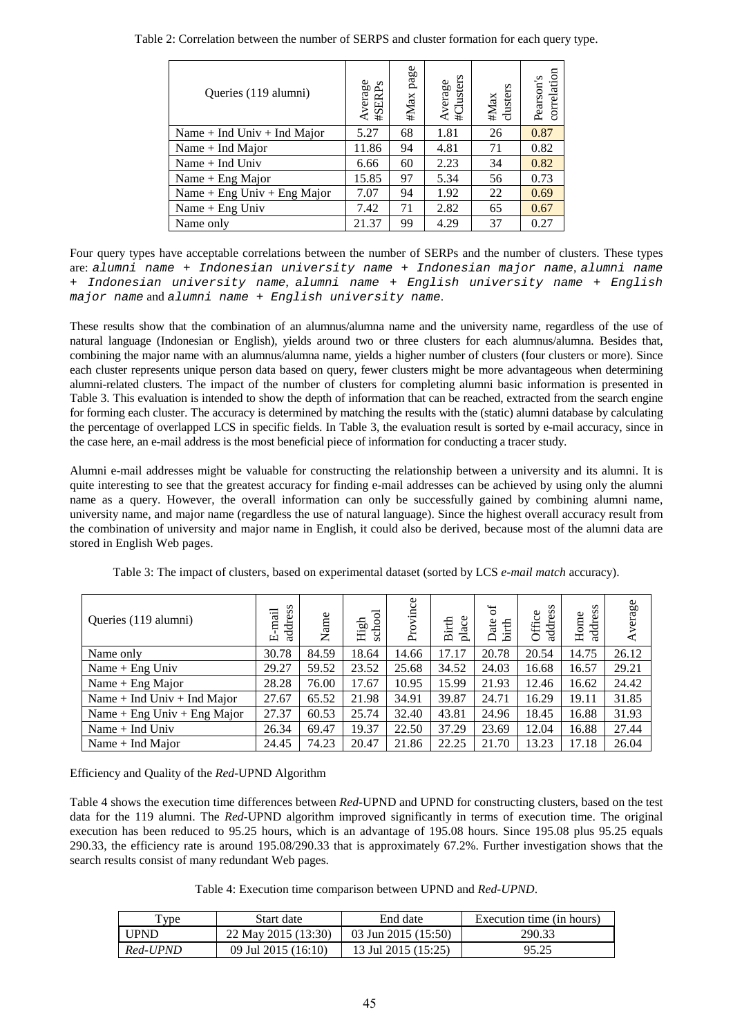| Queries (119 alumni)            | Average<br>#SERPs | #Max page | #Clusters<br>Average | #Max<br>clusters | correlation<br>Pearson's |
|---------------------------------|-------------------|-----------|----------------------|------------------|--------------------------|
| Name $+$ Ind Univ $+$ Ind Major | 5.27              | 68        | 1.81                 | 26               | 0.87                     |
| Name $+$ Ind Major              | 11.86             | 94        | 4.81                 | 71               | 0.82                     |
| Name $+$ Ind Univ               | 6.66              | 60        | 2.23                 | 34               | 0.82                     |
| Name $+$ Eng Major              | 15.85             | 97        | 5.34                 | 56               | 0.73                     |
| Name + Eng Univ + Eng Major     | 7.07              | 94        | 1.92                 | 22               | 0.69                     |
| Name $+$ Eng Univ               | 7.42              | 71        | 2.82                 | 65               | 0.67                     |
| Name only                       | 21.37             | 99        | 4.29                 | 37               | 0.27                     |

Table 2: Correlation between the number of SERPS and cluster formation for each query type.

Four query types have acceptable correlations between the number of SERPs and the number of clusters. These types are: *alumni name + Indonesian university name + Indonesian major name*, *alumni name + Indonesian university name*, *alumni name + English university name + English major name* and *alumni name + English university name*.

These results show that the combination of an alumnus/alumna name and the university name, regardless of the use of natural language (Indonesian or English), yields around two or three clusters for each alumnus/alumna. Besides that, combining the major name with an alumnus/alumna name, yields a higher number of clusters (four clusters or more). Since each cluster represents unique person data based on query, fewer clusters might be more advantageous when determining alumni-related clusters. The impact of the number of clusters for completing alumni basic information is presented in Table 3. This evaluation is intended to show the depth of information that can be reached, extracted from the search engine for forming each cluster. The accuracy is determined by matching the results with the (static) alumni database by calculating the percentage of overlapped LCS in specific fields. In Table 3, the evaluation result is sorted by e-mail accuracy, since in the case here, an e-mail address is the most beneficial piece of information for conducting a tracer study.

Alumni e-mail addresses might be valuable for constructing the relationship between a university and its alumni. It is quite interesting to see that the greatest accuracy for finding e-mail addresses can be achieved by using only the alumni name as a query. However, the overall information can only be successfully gained by combining alumni name, university name, and major name (regardless the use of natural language). Since the highest overall accuracy result from the combination of university and major name in English, it could also be derived, because most of the alumni data are stored in English Web pages.

| Queries (119 alumni)        | address<br>mail<br>凹 | Name  | school<br>$\rm High$ | vince<br>Pro | place<br><b>Birth</b> | $\sigma$<br>Date<br>birth | SS<br>Office<br>address | SS<br>Home<br>addres | verage<br>⋖ |
|-----------------------------|----------------------|-------|----------------------|--------------|-----------------------|---------------------------|-------------------------|----------------------|-------------|
| Name only                   | 30.78                | 84.59 | 18.64                | 14.66        | 17.17                 | 20.78                     | 20.54                   | 14.75                | 26.12       |
| Name $+$ Eng Univ           | 29.27                | 59.52 | 23.52                | 25.68        | 34.52                 | 24.03                     | 16.68                   | 16.57                | 29.21       |
| Name $+$ Eng Major          | 28.28                | 76.00 | 17.67                | 10.95        | 15.99                 | 21.93                     | 12.46                   | 16.62                | 24.42       |
| Name + Ind Univ + Ind Major | 27.67                | 65.52 | 21.98                | 34.91        | 39.87                 | 24.71                     | 16.29                   | 19.11                | 31.85       |
| Name + Eng Univ + Eng Major | 27.37                | 60.53 | 25.74                | 32.40        | 43.81                 | 24.96                     | 18.45                   | 16.88                | 31.93       |
| Name $+$ Ind Univ           | 26.34                | 69.47 | 19.37                | 22.50        | 37.29                 | 23.69                     | 12.04                   | 16.88                | 27.44       |
| Name $+$ Ind Major          | 24.45                | 74.23 | 20.47                | 21.86        | 22.25                 | 21.70                     | 13.23                   | 17.18                | 26.04       |

Table 3: The impact of clusters, based on experimental dataset (sorted by LCS *e-mail match* accuracy).

Efficiency and Quality of the *Red*-UPND Algorithm

Table 4 shows the execution time differences between *Red-*UPND and UPND for constructing clusters, based on the test data for the 119 alumni. The *Red-*UPND algorithm improved significantly in terms of execution time. The original execution has been reduced to 95.25 hours, which is an advantage of 195.08 hours. Since 195.08 plus 95.25 equals 290.33, the efficiency rate is around 195.08/290.33 that is approximately 67.2%. Further investigation shows that the search results consist of many redundant Web pages.

Table 4: Execution time comparison between UPND and *Red-UPND*.

| Type     | Start date            | End date              | Execution time (in hours) |  |  |
|----------|-----------------------|-----------------------|---------------------------|--|--|
| UPND     | 22 May 2015 (13:30)   | 03 Jun 2015 $(15:50)$ | 290.33                    |  |  |
| Red-UPND | 09 Jul 2015 $(16:10)$ | 13 Jul 2015 (15:25)   | 95.25                     |  |  |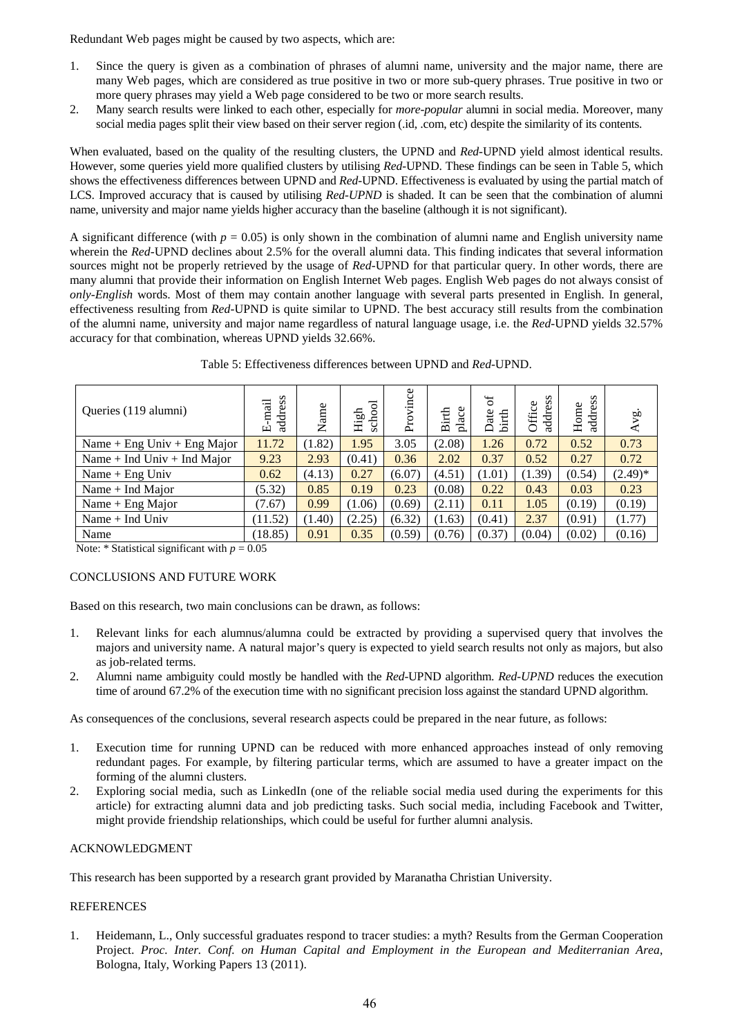Redundant Web pages might be caused by two aspects, which are:

- 1. Since the query is given as a combination of phrases of alumni name, university and the major name, there are many Web pages, which are considered as true positive in two or more sub-query phrases. True positive in two or more query phrases may yield a Web page considered to be two or more search results.
- 2. Many search results were linked to each other, especially for *more-popular* alumni in social media. Moreover, many social media pages split their view based on their server region (.id, .com, etc) despite the similarity of its contents.

When evaluated, based on the quality of the resulting clusters, the UPND and *Red-*UPND yield almost identical results. However, some queries yield more qualified clusters by utilising *Red-*UPND. These findings can be seen in Table 5, which shows the effectiveness differences between UPND and *Red-*UPND. Effectiveness is evaluated by using the partial match of LCS. Improved accuracy that is caused by utilising *Red-UPND* is shaded. It can be seen that the combination of alumni name, university and major name yields higher accuracy than the baseline (although it is not significant).

A significant difference (with  $p = 0.05$ ) is only shown in the combination of alumni name and English university name wherein the *Red*-UPND declines about 2.5% for the overall alumni data. This finding indicates that several information sources might not be properly retrieved by the usage of *Red-*UPND for that particular query. In other words, there are many alumni that provide their information on English Internet Web pages. English Web pages do not always consist of *only-English* words. Most of them may contain another language with several parts presented in English. In general, effectiveness resulting from *Red-*UPND is quite similar to UPND. The best accuracy still results from the combination of the alumni name, university and major name regardless of natural language usage, i.e. the *Red-*UPND yields 32.57% accuracy for that combination, whereas UPND yields 32.66%.

| Queries (119 alumni)        | address<br>-mail<br>$\boxed{\underline{\mathbf{L}}}$ | Name   | school<br>High | vince<br>Pro | place<br>Birth | $\mathfrak{b}$<br>birth<br>Date | address<br>Office | address<br>Home | $\tilde{\mathbf{g}}$<br>∢ |
|-----------------------------|------------------------------------------------------|--------|----------------|--------------|----------------|---------------------------------|-------------------|-----------------|---------------------------|
| Name + Eng Univ + Eng Major | 11.72                                                | (1.82) | 1.95           | 3.05         | (2.08)         | 1.26                            | 0.72              | 0.52            | 0.73                      |
| Name + Ind Univ + Ind Major | 9.23                                                 | 2.93   | (0.41)         | 0.36         | 2.02           | 0.37                            | 0.52              | 0.27            | 0.72                      |
| Name $+$ Eng Univ           | 0.62                                                 | (4.13) | 0.27           | (6.07)       | (4.51)         | (1.01)                          | (1.39)            | (0.54)          | $(2.49)^*$                |
| Name $+$ Ind Major          | (5.32)                                               | 0.85   | 0.19           | 0.23         | (0.08)         | 0.22                            | 0.43              | 0.03            | 0.23                      |
| Name $+$ Eng Major          | (7.67)                                               | 0.99   | (1.06)         | (0.69)       | (2.11)         | 0.11                            | 1.05              | (0.19)          | (0.19)                    |
| Name + Ind Univ             | 11.52)                                               | (1.40) | (2.25)         | (6.32)       | (1.63)         | (0.41)                          | 2.37              | (0.91)          | (1.77)                    |
| Name                        | (18.85)                                              | 0.91   | 0.35           | (0.59)       | (0.76)         | (0.37)                          | (0.04)            | (0.02)          | (0.16)                    |

Table 5: Effectiveness differences between UPND and *Red*-UPND.

Note:  $*$  Statistical significant with  $p = 0.05$ 

## CONCLUSIONS AND FUTURE WORK

Based on this research, two main conclusions can be drawn, as follows:

- 1. Relevant links for each alumnus/alumna could be extracted by providing a supervised query that involves the majors and university name. A natural major's query is expected to yield search results not only as majors, but also as job-related terms.
- 2. Alumni name ambiguity could mostly be handled with the *Red*-UPND algorithm. *Red-UPND* reduces the execution time of around 67.2% of the execution time with no significant precision loss against the standard UPND algorithm.

As consequences of the conclusions, several research aspects could be prepared in the near future, as follows:

- 1. Execution time for running UPND can be reduced with more enhanced approaches instead of only removing redundant pages. For example, by filtering particular terms, which are assumed to have a greater impact on the forming of the alumni clusters.
- 2. Exploring social media, such as LinkedIn (one of the reliable social media used during the experiments for this article) for extracting alumni data and job predicting tasks. Such social media, including Facebook and Twitter, might provide friendship relationships, which could be useful for further alumni analysis.

## ACKNOWLEDGMENT

This research has been supported by a research grant provided by Maranatha Christian University.

## REFERENCES

1. Heidemann, L., Only successful graduates respond to tracer studies: a myth? Results from the German Cooperation Project. *Proc. Inter. Conf. on Human Capital and Employment in the European and Mediterranian Area*, Bologna, Italy, Working Papers 13 (2011).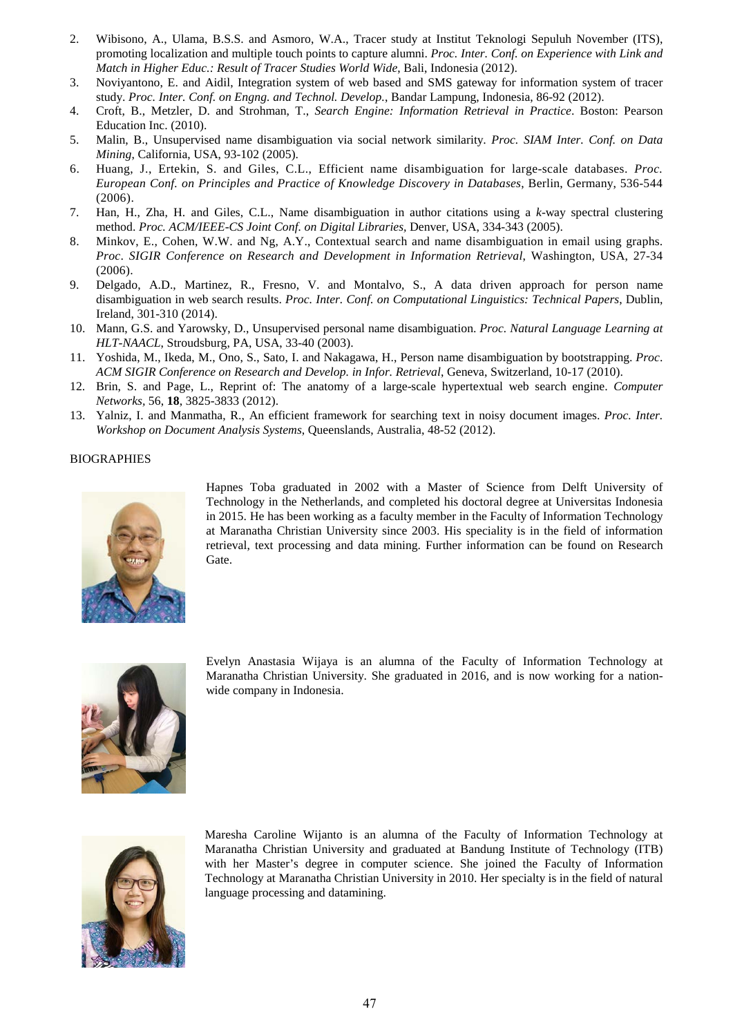- 2. Wibisono, A., Ulama, B.S.S. and Asmoro, W.A., Tracer study at Institut Teknologi Sepuluh November (ITS), promoting localization and multiple touch points to capture alumni. *Proc. Inter. Conf. on Experience with Link and Match in Higher Educ.: Result of Tracer Studies World Wide*, Bali, Indonesia (2012).
- 3. Noviyantono, E. and Aidil, Integration system of web based and SMS gateway for information system of tracer study. *Proc. Inter. Conf. on Engng. and Technol. Develop.*, Bandar Lampung, Indonesia, 86-92 (2012).
- 4. Croft, B., Metzler, D. and Strohman, T., *Search Engine: Information Retrieval in Practice*. Boston: Pearson Education Inc. (2010).
- 5. Malin, B., Unsupervised name disambiguation via social network similarity. *Proc. SIAM Inter. Conf. on Data Mining*, California, USA, 93-102 (2005).
- 6. Huang, J., Ertekin, S. and Giles, C.L., Efficient name disambiguation for large-scale databases. *Proc. European Conf. on Principles and Practice of Knowledge Discovery in Databases*, Berlin, Germany, 536-544 (2006).
- 7. Han, H., Zha, H. and Giles, C.L., Name disambiguation in author citations using a *k*-way spectral clustering method. *Proc. ACM/IEEE-CS Joint Conf. on Digital Libraries,* Denver, USA, 334-343 (2005).
- 8. Minkov, E., Cohen, W.W. and Ng, A.Y., Contextual search and name disambiguation in email using graphs. *Proc*. *SIGIR Conference on Research and Development in Information Retrieval*, Washington, USA, 27-34 (2006).
- 9. Delgado, A.D., Martinez, R., Fresno, V. and Montalvo, S., A data driven approach for person name disambiguation in web search results. *Proc. Inter. Conf. on Computational Linguistics: Technical Papers*, Dublin, Ireland, 301-310 (2014).
- 10. Mann, G.S. and Yarowsky, D., Unsupervised personal name disambiguation. *Proc. Natural Language Learning at HLT-NAACL*, Stroudsburg, PA, USA, 33-40 (2003).
- 11. Yoshida, M., Ikeda, M., Ono, S., Sato, I. and Nakagawa, H., Person name disambiguation by bootstrapping. *Proc*. *ACM SIGIR Conference on Research and Develop. in Infor. Retrieval*, Geneva, Switzerland, 10-17 (2010).
- 12. Brin, S. and Page, L., Reprint of: The anatomy of a large-scale hypertextual web search engine. *Computer Networks,* 56, **18**, 3825-3833 (2012).
- 13. Yalniz, I. and Manmatha, R., An efficient framework for searching text in noisy document images. *Proc. Inter. Workshop on Document Analysis Systems*, Queenslands, Australia, 48-52 (2012).

#### BIOGRAPHIES



Hapnes Toba graduated in 2002 with a Master of Science from Delft University of Technology in the Netherlands, and completed his doctoral degree at Universitas Indonesia in 2015. He has been working as a faculty member in the Faculty of Information Technology at Maranatha Christian University since 2003. His speciality is in the field of information retrieval, text processing and data mining. Further information can be found on Research Gate.



Evelyn Anastasia Wijaya is an alumna of the Faculty of Information Technology at Maranatha Christian University. She graduated in 2016, and is now working for a nationwide company in Indonesia.



Maresha Caroline Wijanto is an alumna of the Faculty of Information Technology at Maranatha Christian University and graduated at Bandung Institute of Technology (ITB) with her Master's degree in computer science. She joined the Faculty of Information Technology at Maranatha Christian University in 2010. Her specialty is in the field of natural language processing and datamining.